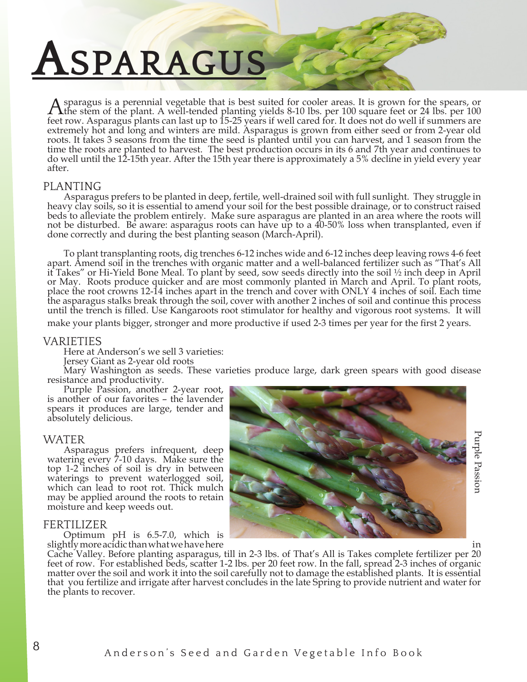# **Asparagus**

A sparagus is a perennial vegetable that is best suited for cooler areas. It is grown for the spears, or the stem of the plant. A well-tended planting yields 8-10 lbs. per 100 square feet or 24 lbs. per 100 feet row. Asparagus plants can last up to 15-25 years if well cared for. It does not do well if summers are extremely hot and long and winters are mild. Asparagus is grown from either seed or from 2-year old roots. It takes 3 seasons from the time the seed is planted until you can harvest, and 1 season from the time the roots are planted to harvest. The best production occurs in its 6 and 7th year and continues to do well until the 12-15th year. After the 15th year there is approximately a 5% decline in yield every year after.

### PLANTING

Asparagus prefers to be planted in deep, fertile, well-drained soil with full sunlight. They struggle in heavy clay soils, so it is essential to amend your soil for the best possible drainage, or to construct raised beds to alleviate the problem entirely. Make sure asparagus are planted in an area where the roots will not be disturbed. Be aware: asparagus roots can have up to a 40-50% loss when transplanted, even if done correctly and during the best planting season (March-April).

To plant transplanting roots, dig trenches 6-12 inches wide and 6-12 inches deep leaving rows 4-6 feet apart. Amend soil in the trenches with organic matter and a well-balanced fertilizer such as "That's All it Takes" or Hi-Yield Bone Meal. To plant by seed, sow seeds directly into the soil ½ inch deep in April or May. Roots produce quicker and are most commonly planted in March and April. To plant roots, place the root crowns 12-14 inches apart in the trench and cover with ONLY 4 inches of soil. Each time the asparagus stalks break through the soil, cover with another 2 inches of soil and continue this process until the trench is filled. Use Kangaroots root stimulator for healthy and vigorous root systems. It will

make your plants bigger, stronger and more productive if used 2-3 times per year for the first 2 years.

#### VARIETIES

Here at Anderson's we sell 3 varieties:

Jersey Giant as 2-year old roots

Mary Washington as seeds. These varieties produce large, dark green spears with good disease resistance and productivity.

Purple Passion, another 2-year root, is another of our favorites – the lavender spears it produces are large, tender and absolutely delicious.

#### WATER

Asparagus prefers infrequent, deep watering every 7-10 days. Make sure the top 1-2 inches of soil is dry in between waterings to prevent waterlogged soil, which can lead to root rot. Thick mulch may be applied around the roots to retain moisture and keep weeds out.

#### FERTILIZER

Optimum pH is 6.5-7.0, which is slightly more acidic than what we have here



Cache Valley. Before planting asparagus, till in 2-3 lbs. of That's All is Takes complete fertilizer per 20 feet of row. For established beds, scatter 1-2 lbs. per 20 feet row. In the fall, spread 2-3 inches of organic matter over the soil and work it into the soil carefully not to damage the established plants. It is essential that you fertilize and irrigate after harvest concludes in the late Spring to provide nutrient and water for the plants to recover.